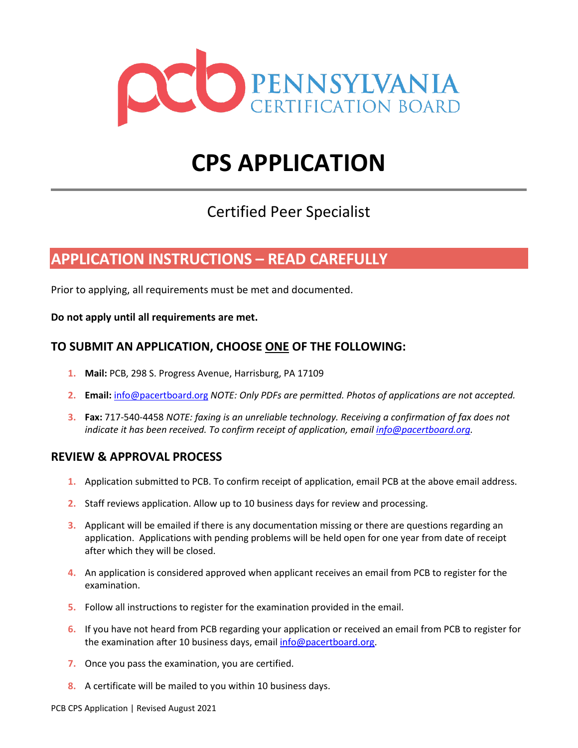

# **CPS APPLICATION**

### Certified Peer Specialist

### **APPLICATION INSTRUCTIONS – READ CAREFULLY**

Prior to applying, all requirements must be met and documented.

**Do not apply until all requirements are met.**

#### **TO SUBMIT AN APPLICATION, CHOOSE ONE OF THE FOLLOWING:**

- **1. Mail:** PCB, 298 S. Progress Avenue, Harrisburg, PA 17109
- **2. Email:** info@pacertboard.org *NOTE: Only PDFs are permitted. Photos of applications are not accepted.*
- **3. Fax:** 717-540-4458 *NOTE: faxing is an unreliable technology. Receiving a confirmation of fax does not indicate it has been received. To confirm receipt of application, email info@pacertboard.org.*

#### **REVIEW & APPROVAL PROCESS**

- **1.** Application submitted to PCB. To confirm receipt of application, email PCB at the above email address.
- **2.** Staff reviews application. Allow up to 10 business days for review and processing.
- **3.** Applicant will be emailed if there is any documentation missing or there are questions regarding an application. Applications with pending problems will be held open for one year from date of receipt after which they will be closed.
- **4.** An application is considered approved when applicant receives an email from PCB to register for the examination.
- **5.** Follow all instructions to register for the examination provided in the email.
- **6.** If you have not heard from PCB regarding your application or received an email from PCB to register for the examination after 10 business days, email info@pacertboard.org.
- **7.** Once you pass the examination, you are certified.
- **8.** A certificate will be mailed to you within 10 business days.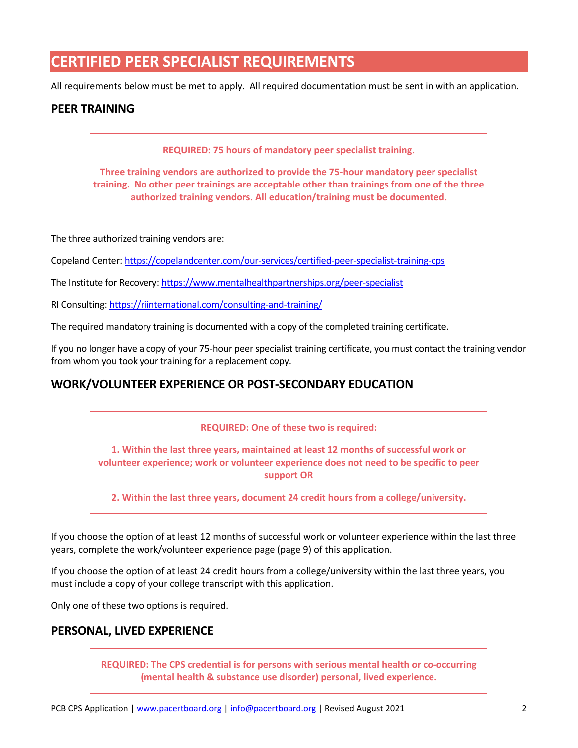### **CERTIFIED PEER SPECIALIST REQUIREMENTS**

All requirements below must be met to apply. All required documentation must be sent in with an application.

#### **PEER TRAINING**

**REQUIRED: 75 hours of mandatory peer specialist training.**

**Three training vendors are authorized to provide the 75-hour mandatory peer specialist training. No other peer trainings are acceptable other than trainings from one of the three authorized training vendors. All education/training must be documented.**

The three authorized training vendors are:

Copeland Center: https://copelandcenter.com/our-services/certified-peer-specialist-training-cps

The Institute for Recovery: https://www.mentalhealthpartnerships.org/peer-specialist

RI Consulting: https://riinternational.com/consulting-and-training/

The required mandatory training is documented with a copy of the completed training certificate.

If you no longer have a copy of your 75-hour peer specialist training certificate, you must contact the training vendor from whom you took your training for a replacement copy.

#### **WORK/VOLUNTEER EXPERIENCE OR POST-SECONDARY EDUCATION**

#### **REQUIRED: One of these two is required:**

**1. Within the last three years, maintained at least 12 months of successful work or volunteer experience; work or volunteer experience does not need to be specific to peer support OR** 

**2. Within the last three years, document 24 credit hours from a college/university.**

If you choose the option of at least 12 months of successful work or volunteer experience within the last three years, complete the work/volunteer experience page (page 9) of this application.

If you choose the option of at least 24 credit hours from a college/university within the last three years, you must include a copy of your college transcript with this application.

Only one of these two options is required.

#### **PERSONAL, LIVED EXPERIENCE**

**REQUIRED: The CPS credential is for persons with serious mental health or co-occurring (mental health & substance use disorder) personal, lived experience.**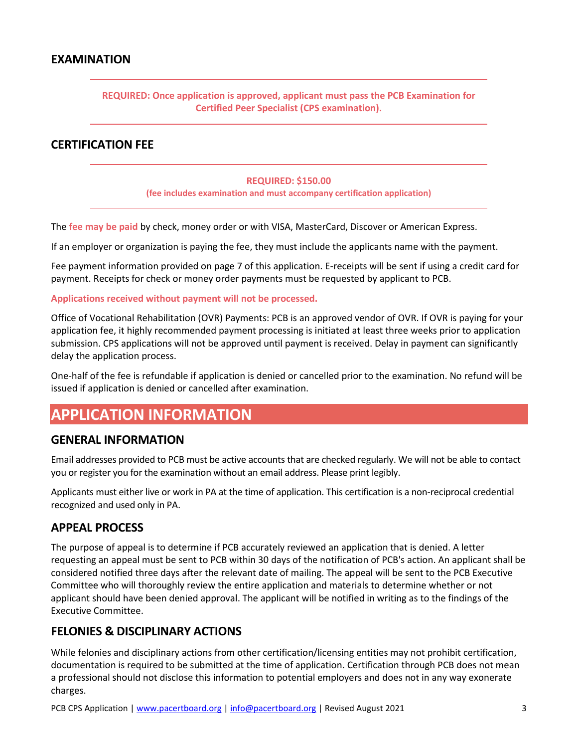#### **EXAMINATION**

#### **REQUIRED: Once application is approved, applicant must pass the PCB Examination for Certified Peer Specialist (CPS examination).**

#### **CERTIFICATION FEE**

#### **REQUIRED: \$150.00**

**(fee includes examination and must accompany certification application)**

The **fee may be paid** by check, money order or with VISA, MasterCard, Discover or American Express.

If an employer or organization is paying the fee, they must include the applicants name with the payment.

Fee payment information provided on page 7 of this application. E-receipts will be sent if using a credit card for payment. Receipts for check or money order payments must be requested by applicant to PCB.

#### **Applications received without payment will not be processed.**

Office of Vocational Rehabilitation (OVR) Payments: PCB is an approved vendor of OVR. If OVR is paying for your application fee, it highly recommended payment processing is initiated at least three weeks prior to application submission. CPS applications will not be approved until payment is received. Delay in payment can significantly delay the application process.

One-half of the fee is refundable if application is denied or cancelled prior to the examination. No refund will be issued if application is denied or cancelled after examination.

### **APPLICATION INFORMATION**

#### **GENERAL INFORMATION**

Email addresses provided to PCB must be active accounts that are checked regularly. We will not be able to contact you or register you for the examination without an email address. Please print legibly.

Applicants must either live or work in PA at the time of application. This certification is a non-reciprocal credential recognized and used only in PA.

#### **APPEAL PROCESS**

The purpose of appeal is to determine if PCB accurately reviewed an application that is denied. A letter requesting an appeal must be sent to PCB within 30 days of the notification of PCB's action. An applicant shall be considered notified three days after the relevant date of mailing. The appeal will be sent to the PCB Executive Committee who will thoroughly review the entire application and materials to determine whether or not applicant should have been denied approval. The applicant will be notified in writing as to the findings of the Executive Committee.

#### **FELONIES & DISCIPLINARY ACTIONS**

While felonies and disciplinary actions from other certification/licensing entities may not prohibit certification, documentation is required to be submitted at the time of application. Certification through PCB does not mean a professional should not disclose this information to potential employers and does not in any way exonerate charges.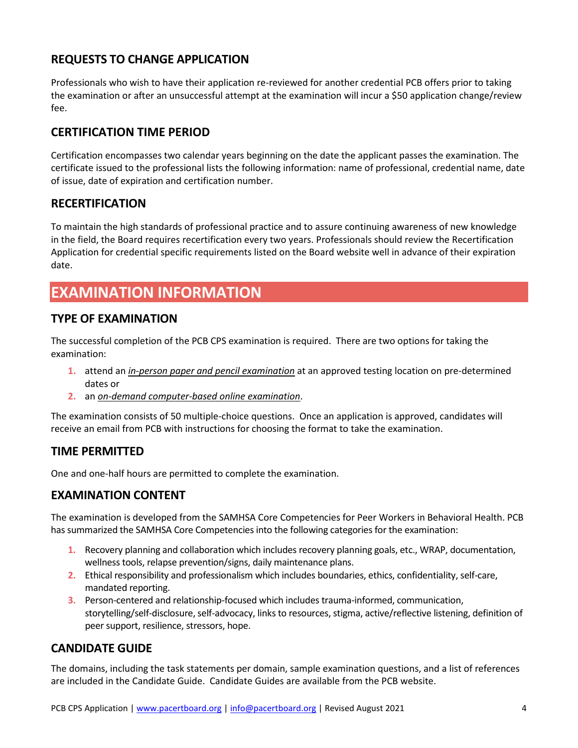### **REQUESTS TO CHANGE APPLICATION**

Professionals who wish to have their application re-reviewed for another credential PCB offers prior to taking the examination or after an unsuccessful attempt at the examination will incur a \$50 application change/review fee.

### **CERTIFICATION TIME PERIOD**

Certification encompasses two calendar years beginning on the date the applicant passes the examination. The certificate issued to the professional lists the following information: name of professional, credential name, date of issue, date of expiration and certification number.

#### **RECERTIFICATION**

To maintain the high standards of professional practice and to assure continuing awareness of new knowledge in the field, the Board requires recertification every two years. Professionals should review the Recertification Application for credential specific requirements listed on the Board website well in advance of their expiration date.

### **EXAMINATION INFORMATION**

#### **TYPE OF EXAMINATION**

The successful completion of the PCB CPS examination is required. There are two options for taking the examination:

- **1.** attend an *in-person paper and pencil examination* at an approved testing location on pre-determined dates or
- **2.** an *on-demand computer-based online examination*.

The examination consists of 50 multiple-choice questions. Once an application is approved, candidates will receive an email from PCB with instructions for choosing the format to take the examination.

#### **TIME PERMITTED**

One and one-half hours are permitted to complete the examination.

#### **EXAMINATION CONTENT**

The examination is developed from the SAMHSA Core Competencies for Peer Workers in Behavioral Health. PCB has summarized the SAMHSA Core Competencies into the following categories for the examination:

- **1.** Recovery planning and collaboration which includes recovery planning goals, etc., WRAP, documentation, wellness tools, relapse prevention/signs, daily maintenance plans.
- **2.** Ethical responsibility and professionalism which includes boundaries, ethics, confidentiality, self-care, mandated reporting.
- **3.** Person-centered and relationship-focused which includes trauma-informed, communication, storytelling/self-disclosure, self-advocacy, links to resources, stigma, active/reflective listening, definition of peer support, resilience, stressors, hope.

#### **CANDIDATE GUIDE**

The domains, including the task statements per domain, sample examination questions, and a list of references are included in the Candidate Guide. Candidate Guides are available from the PCB website.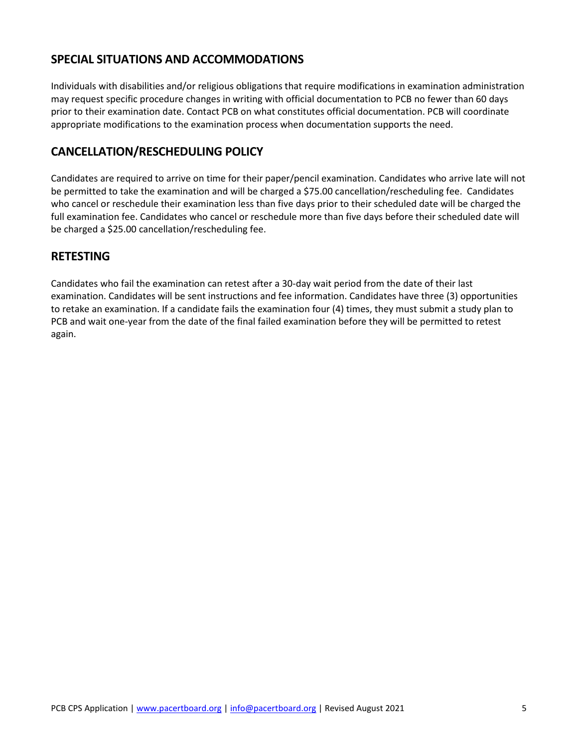#### **SPECIAL SITUATIONS AND ACCOMMODATIONS**

Individuals with disabilities and/or religious obligations that require modifications in examination administration may request specific procedure changes in writing with official documentation to PCB no fewer than 60 days prior to their examination date. Contact PCB on what constitutes official documentation. PCB will coordinate appropriate modifications to the examination process when documentation supports the need.

#### **CANCELLATION/RESCHEDULING POLICY**

Candidates are required to arrive on time for their paper/pencil examination. Candidates who arrive late will not be permitted to take the examination and will be charged a \$75.00 cancellation/rescheduling fee. Candidates who cancel or reschedule their examination less than five days prior to their scheduled date will be charged the full examination fee. Candidates who cancel or reschedule more than five days before their scheduled date will be charged a \$25.00 cancellation/rescheduling fee.

#### **RETESTING**

Candidates who fail the examination can retest after a 30-day wait period from the date of their last examination. Candidates will be sent instructions and fee information. Candidates have three (3) opportunities to retake an examination. If a candidate fails the examination four (4) times, they must submit a study plan to PCB and wait one-year from the date of the final failed examination before they will be permitted to retest again.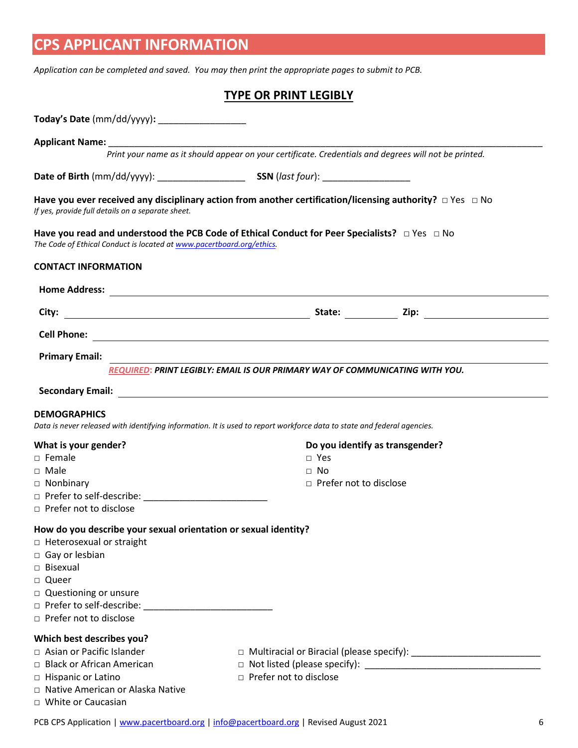## **CPS APPLICANT INFORMATION**

*Application can be completed and saved. You may then print the appropriate pages to submit to PCB.*

#### **TYPE OR PRINT LEGIBLY**

| Print your name as it should appear on your certificate. Credentials and degrees will not be printed.<br>Have you ever received any disciplinary action from another certification/licensing authority? $\Box$ Yes $\Box$ No<br>Have you read and understood the PCB Code of Ethical Conduct for Peer Specialists? $\Box$ Yes $\Box$ No<br>The Code of Ethical Conduct is located at www.pacertboard.org/ethics.<br>City:<br><b>Cell Phone:</b><br><b>Primary Email:</b><br>REQUIRED: PRINT LEGIBLY: EMAIL IS OUR PRIMARY WAY OF COMMUNICATING WITH YOU.<br><b>DEMOGRAPHICS</b><br>Data is never released with identifying information. It is used to report workforce data to state and federal agencies.<br>Do you identify as transgender?<br>$\Box$ Yes<br>$\Box$ Male<br>$\Box$ No<br>□ Prefer not to disclose<br>$\Box$ Nonbinary<br>How do you describe your sexual orientation or sexual identity?<br>□ Heterosexual or straight<br>□ Queer<br>□ Questioning or unsure<br>□ Prefer to self-describe: <u>■ Prefer to self-describe:</u><br>$\Box$ Prefer not to disclose<br>□ Asian or Pacific Islander<br>□ Multiracial or Biracial (please specify): ___________________________________<br>□ Black or African American<br>□ Prefer not to disclose<br>□ Hispanic or Latino<br>□ Native American or Alaska Native | Today's Date (mm/dd/yyyy): ___________________    |  |
|----------------------------------------------------------------------------------------------------------------------------------------------------------------------------------------------------------------------------------------------------------------------------------------------------------------------------------------------------------------------------------------------------------------------------------------------------------------------------------------------------------------------------------------------------------------------------------------------------------------------------------------------------------------------------------------------------------------------------------------------------------------------------------------------------------------------------------------------------------------------------------------------------------------------------------------------------------------------------------------------------------------------------------------------------------------------------------------------------------------------------------------------------------------------------------------------------------------------------------------------------------------------------------------------------------------------------|---------------------------------------------------|--|
|                                                                                                                                                                                                                                                                                                                                                                                                                                                                                                                                                                                                                                                                                                                                                                                                                                                                                                                                                                                                                                                                                                                                                                                                                                                                                                                            |                                                   |  |
|                                                                                                                                                                                                                                                                                                                                                                                                                                                                                                                                                                                                                                                                                                                                                                                                                                                                                                                                                                                                                                                                                                                                                                                                                                                                                                                            |                                                   |  |
|                                                                                                                                                                                                                                                                                                                                                                                                                                                                                                                                                                                                                                                                                                                                                                                                                                                                                                                                                                                                                                                                                                                                                                                                                                                                                                                            |                                                   |  |
|                                                                                                                                                                                                                                                                                                                                                                                                                                                                                                                                                                                                                                                                                                                                                                                                                                                                                                                                                                                                                                                                                                                                                                                                                                                                                                                            | If yes, provide full details on a separate sheet. |  |
|                                                                                                                                                                                                                                                                                                                                                                                                                                                                                                                                                                                                                                                                                                                                                                                                                                                                                                                                                                                                                                                                                                                                                                                                                                                                                                                            |                                                   |  |
|                                                                                                                                                                                                                                                                                                                                                                                                                                                                                                                                                                                                                                                                                                                                                                                                                                                                                                                                                                                                                                                                                                                                                                                                                                                                                                                            | <b>CONTACT INFORMATION</b>                        |  |
|                                                                                                                                                                                                                                                                                                                                                                                                                                                                                                                                                                                                                                                                                                                                                                                                                                                                                                                                                                                                                                                                                                                                                                                                                                                                                                                            |                                                   |  |
|                                                                                                                                                                                                                                                                                                                                                                                                                                                                                                                                                                                                                                                                                                                                                                                                                                                                                                                                                                                                                                                                                                                                                                                                                                                                                                                            |                                                   |  |
|                                                                                                                                                                                                                                                                                                                                                                                                                                                                                                                                                                                                                                                                                                                                                                                                                                                                                                                                                                                                                                                                                                                                                                                                                                                                                                                            |                                                   |  |
|                                                                                                                                                                                                                                                                                                                                                                                                                                                                                                                                                                                                                                                                                                                                                                                                                                                                                                                                                                                                                                                                                                                                                                                                                                                                                                                            |                                                   |  |
|                                                                                                                                                                                                                                                                                                                                                                                                                                                                                                                                                                                                                                                                                                                                                                                                                                                                                                                                                                                                                                                                                                                                                                                                                                                                                                                            |                                                   |  |
|                                                                                                                                                                                                                                                                                                                                                                                                                                                                                                                                                                                                                                                                                                                                                                                                                                                                                                                                                                                                                                                                                                                                                                                                                                                                                                                            |                                                   |  |
|                                                                                                                                                                                                                                                                                                                                                                                                                                                                                                                                                                                                                                                                                                                                                                                                                                                                                                                                                                                                                                                                                                                                                                                                                                                                                                                            |                                                   |  |
|                                                                                                                                                                                                                                                                                                                                                                                                                                                                                                                                                                                                                                                                                                                                                                                                                                                                                                                                                                                                                                                                                                                                                                                                                                                                                                                            | What is your gender?                              |  |
|                                                                                                                                                                                                                                                                                                                                                                                                                                                                                                                                                                                                                                                                                                                                                                                                                                                                                                                                                                                                                                                                                                                                                                                                                                                                                                                            | $\Box$ Female                                     |  |
|                                                                                                                                                                                                                                                                                                                                                                                                                                                                                                                                                                                                                                                                                                                                                                                                                                                                                                                                                                                                                                                                                                                                                                                                                                                                                                                            |                                                   |  |
|                                                                                                                                                                                                                                                                                                                                                                                                                                                                                                                                                                                                                                                                                                                                                                                                                                                                                                                                                                                                                                                                                                                                                                                                                                                                                                                            |                                                   |  |
|                                                                                                                                                                                                                                                                                                                                                                                                                                                                                                                                                                                                                                                                                                                                                                                                                                                                                                                                                                                                                                                                                                                                                                                                                                                                                                                            | $\Box$ Prefer not to disclose                     |  |
|                                                                                                                                                                                                                                                                                                                                                                                                                                                                                                                                                                                                                                                                                                                                                                                                                                                                                                                                                                                                                                                                                                                                                                                                                                                                                                                            |                                                   |  |
|                                                                                                                                                                                                                                                                                                                                                                                                                                                                                                                                                                                                                                                                                                                                                                                                                                                                                                                                                                                                                                                                                                                                                                                                                                                                                                                            |                                                   |  |
|                                                                                                                                                                                                                                                                                                                                                                                                                                                                                                                                                                                                                                                                                                                                                                                                                                                                                                                                                                                                                                                                                                                                                                                                                                                                                                                            | $\Box$ Gay or lesbian                             |  |
|                                                                                                                                                                                                                                                                                                                                                                                                                                                                                                                                                                                                                                                                                                                                                                                                                                                                                                                                                                                                                                                                                                                                                                                                                                                                                                                            | $\Box$ Bisexual                                   |  |
|                                                                                                                                                                                                                                                                                                                                                                                                                                                                                                                                                                                                                                                                                                                                                                                                                                                                                                                                                                                                                                                                                                                                                                                                                                                                                                                            |                                                   |  |
|                                                                                                                                                                                                                                                                                                                                                                                                                                                                                                                                                                                                                                                                                                                                                                                                                                                                                                                                                                                                                                                                                                                                                                                                                                                                                                                            |                                                   |  |
|                                                                                                                                                                                                                                                                                                                                                                                                                                                                                                                                                                                                                                                                                                                                                                                                                                                                                                                                                                                                                                                                                                                                                                                                                                                                                                                            |                                                   |  |
|                                                                                                                                                                                                                                                                                                                                                                                                                                                                                                                                                                                                                                                                                                                                                                                                                                                                                                                                                                                                                                                                                                                                                                                                                                                                                                                            |                                                   |  |
|                                                                                                                                                                                                                                                                                                                                                                                                                                                                                                                                                                                                                                                                                                                                                                                                                                                                                                                                                                                                                                                                                                                                                                                                                                                                                                                            | Which best describes you?                         |  |
|                                                                                                                                                                                                                                                                                                                                                                                                                                                                                                                                                                                                                                                                                                                                                                                                                                                                                                                                                                                                                                                                                                                                                                                                                                                                                                                            |                                                   |  |
|                                                                                                                                                                                                                                                                                                                                                                                                                                                                                                                                                                                                                                                                                                                                                                                                                                                                                                                                                                                                                                                                                                                                                                                                                                                                                                                            |                                                   |  |
|                                                                                                                                                                                                                                                                                                                                                                                                                                                                                                                                                                                                                                                                                                                                                                                                                                                                                                                                                                                                                                                                                                                                                                                                                                                                                                                            |                                                   |  |
|                                                                                                                                                                                                                                                                                                                                                                                                                                                                                                                                                                                                                                                                                                                                                                                                                                                                                                                                                                                                                                                                                                                                                                                                                                                                                                                            | □ White or Caucasian                              |  |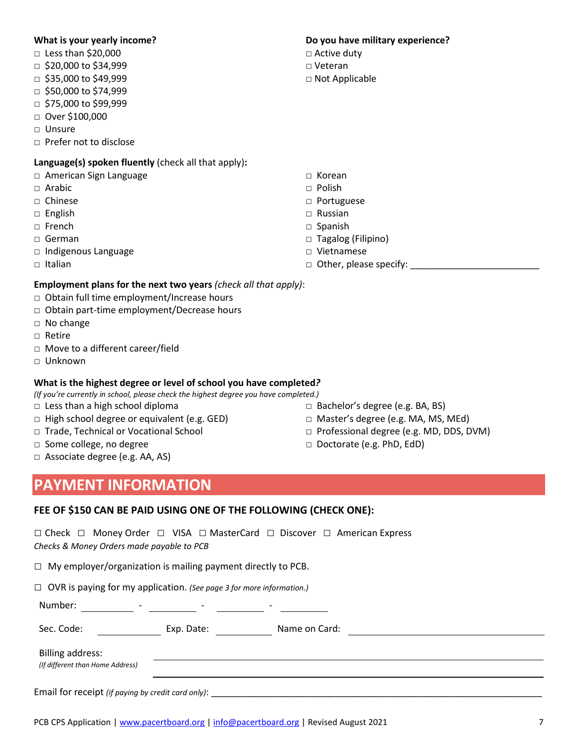#### **What is your yearly income?**

- □ Less than \$20,000
- □ \$20,000 to \$34,999
- □ \$35,000 to \$49,999
- □ \$50,000 to \$74,999
- □ \$75,000 to \$99,999
- □ Over \$100,000
- □ Unsure
- □ Prefer not to disclose

#### **Language(s) spoken fluently** (check all that apply)**:**

- □ American Sign Language
- □ Arabic
- □ Chinese
- □ English
- □ French
- □ German
- □ Indigenous Language
- □ Italian

#### **Employment plans for the next two years** *(check all that apply)*:

- □ Obtain full time employment/Increase hours
- □ Obtain part-time employment/Decrease hours
- □ No change
- □ Retire
- □ Move to a different career/field
- □ Unknown

#### **What is the highest degree or level of school you have completed***?*

*(If you're currently in school, please check the highest degree you have completed.)*

- $\Box$  Less than a high school diploma
- $\Box$  High school degree or equivalent (e.g. GED)
- □ Trade, Technical or Vocational School
- □ Some college, no degree
- □ Associate degree (e.g. AA, AS)

### **PAYMENT INFORMATION**

#### **FEE OF \$150 CAN BE PAID USING ONE OF THE FOLLOWING (CHECK ONE):**

□ Check □ Money Order □ VISA □ MasterCard □ Discover □ American Express *Checks & Money Orders made payable to PCB*

| Number: |  |  |  |
|---------|--|--|--|
|         |  |  |  |

PCB CPS Application | www.pacertboard.org | info@pacertboard.org | Revised August 2021 7

#### **Do you have military experience?**

- □ Active duty
- □ Veteran
- □ Not Applicable

- □ Korean
- □ Polish
- □ Portuguese
- □ Russian
- □ Spanish
- □ Tagalog (Filipino)
- □ Vietnamese
- □ Other, please specify: \_\_\_\_\_\_\_\_\_\_\_\_\_\_\_\_\_\_\_\_\_\_\_\_\_

- □ Bachelor's degree (e.g. BA, BS)
- □ Master's degree (e.g. MA, MS, MEd)
- □ Professional degree (e.g. MD, DDS, DVM)
- □ Doctorate (e.g. PhD, EdD)

| $\Box$ My employer/organization is mailing payment directly to PCB.              |            |               |  |
|----------------------------------------------------------------------------------|------------|---------------|--|
| $\Box$ OVR is paying for my application. (See page 3 for more information.)      |            |               |  |
| Number:<br><u> 1990 - Andrea Barbara, poeta e</u>                                |            |               |  |
| Sec. Code:                                                                       | Exp. Date: | Name on Card: |  |
| Billing address:<br>(If different than Home Address)                             |            |               |  |
| Email for receipt (if paying by credit card only): _____________________________ |            |               |  |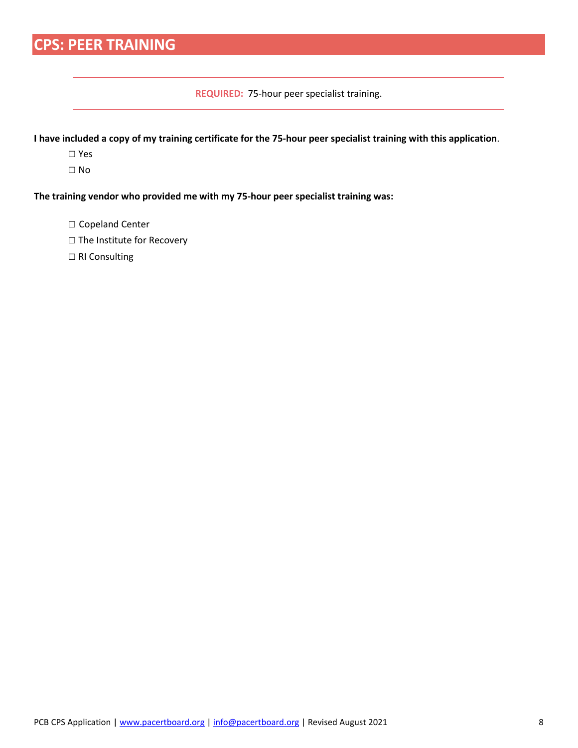## **CPS: PEER TRAINING**

**REQUIRED:** 75-hour peer specialist training.

**I have included a copy of my training certificate for the 75-hour peer specialist training with this application**.

- □ Yes
- □ No

**The training vendor who provided me with my 75-hour peer specialist training was:**

- □ Copeland Center
- □ The Institute for Recovery
- □ RI Consulting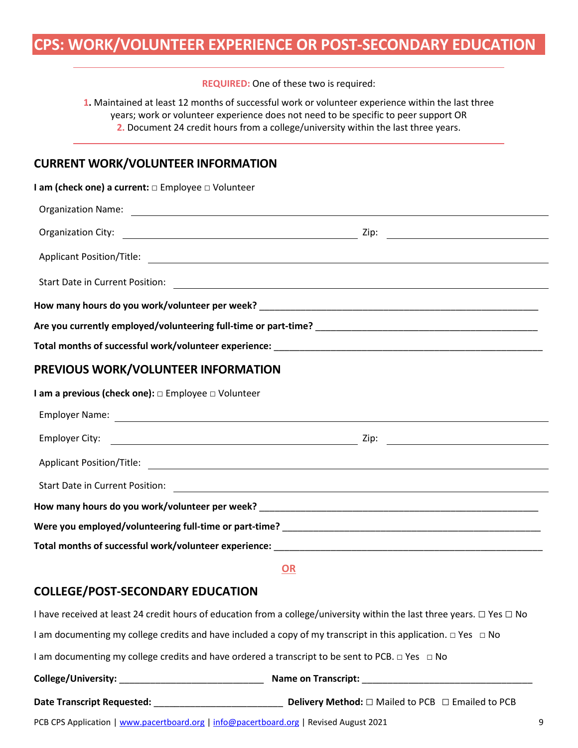### **CPS: WORK/VOLUNTEER EXPERIENCE OR POST-SECONDARY EDUCATION**

**REQUIRED:** One of these two is required:

**1.** Maintained at least 12 months of successful work or volunteer experience within the last three years; work or volunteer experience does not need to be specific to peer support OR **2.** Document 24 credit hours from a college/university within the last three years.

#### **CURRENT WORK/VOLUNTEER INFORMATION**

| I am (check one) a current: $\Box$ Employee $\Box$ Volunteer                                                                                                                                                                   |  |
|--------------------------------------------------------------------------------------------------------------------------------------------------------------------------------------------------------------------------------|--|
| Organization Name: 2008 Communication Name: 2008 Communication Name: 2008 Communication Name: 2008 Communication Name: 2008 Communication Name: 2008 Communication Name: 2008 Communication Name: 2008 Communication Name: 200 |  |
|                                                                                                                                                                                                                                |  |
|                                                                                                                                                                                                                                |  |
|                                                                                                                                                                                                                                |  |
|                                                                                                                                                                                                                                |  |
|                                                                                                                                                                                                                                |  |
|                                                                                                                                                                                                                                |  |
| PREVIOUS WORK/VOLUNTEER INFORMATION                                                                                                                                                                                            |  |
| I am a previous (check one): $\Box$ Employee $\Box$ Volunteer                                                                                                                                                                  |  |

| Total months of successful work/volunteer experience: when the control of the control of the control of the control of the control of the control of the control of the control of the control of the control of the control o |  |  |  |  |
|--------------------------------------------------------------------------------------------------------------------------------------------------------------------------------------------------------------------------------|--|--|--|--|
|                                                                                                                                                                                                                                |  |  |  |  |

**OR**

#### **COLLEGE/POST-SECONDARY EDUCATION**

PCB CPS Application | www.pacertboard.org | info@pacertboard.org | Revised August 2021 9 I have received at least 24 credit hours of education from a college/university within the last three years. □ Yes □ No I am documenting my college credits and have included a copy of my transcript in this application. □ Yes □ No I am documenting my college credits and have ordered a transcript to be sent to PCB. □ Yes □ No **College/University:** \_\_\_\_\_\_\_\_\_\_\_\_\_\_\_\_\_\_\_\_\_\_\_\_\_\_\_\_ **Name on Transcript:** \_\_\_\_\_\_\_\_\_\_\_\_\_\_\_\_\_\_\_\_\_\_\_\_\_\_\_\_\_\_\_\_\_ **Date Transcript Requested:** \_\_\_\_\_\_\_\_\_\_\_\_\_\_\_\_\_\_\_\_\_\_\_\_\_ **Delivery Method:** □ Mailed to PCB □ Emailed to PCB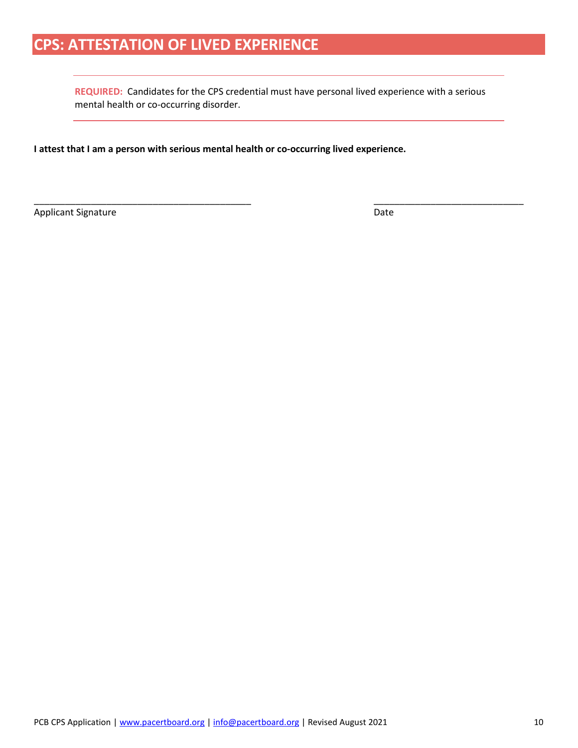### **CPS: ATTESTATION OF LIVED EXPERIENCE**

**REQUIRED:** Candidates for the CPS credential must have personal lived experience with a serious mental health or co-occurring disorder.

\_\_\_\_\_\_\_\_\_\_\_\_\_\_\_\_\_\_\_\_\_\_\_\_\_\_\_\_\_\_\_\_\_\_\_\_\_\_\_\_\_\_ \_\_\_\_\_\_\_\_\_\_\_\_\_\_\_\_\_\_\_\_\_\_\_\_\_\_\_\_\_

**I attest that I am a person with serious mental health or co-occurring lived experience.**

Applicant Signature Date Date Applicant Signature Date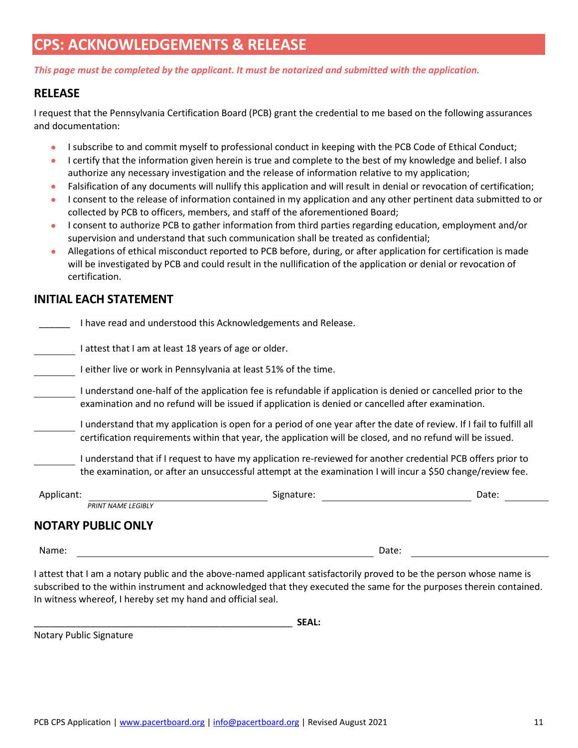### **CPS: ACKNOWLEDGEMENTS & RELEASE**

*This page must be completed by the applicant. It must be notarized and submitted with the application.* 

#### **RELEASE**

I request that the Pennsylvania Certification Board (PCB) grant the credential to me based on the following assurances and documentation:

- I subscribe to and commit myself to professional conduct in keeping with the PCB Code of Ethical Conduct;
- I certify that the information given herein is true and complete to the best of my knowledge and belief. I also authorize any necessary investigation and the release of information relative to my application;
- Falsification of any documents will nullify this application and will result in denial or revocation of certification;
- I consent to the release of information contained in my application and any other pertinent data submitted to or collected by PCB to officers, members, and staff of the aforementioned Board;
- I consent to authorize PCB to gather information from third parties regarding education, employment and/or supervision and understand that such communication shall be treated as confidential;
- Allegations of ethical misconduct reported to PCB before, during, or after application for certification is made will be investigated by PCB and could result in the nullification of the application or denial or revocation of certification.

#### **INITIAL EACH STATEMENT**

| Applicant: | Signature:                                                                                                                                                                                                                         | Date: |
|------------|------------------------------------------------------------------------------------------------------------------------------------------------------------------------------------------------------------------------------------|-------|
|            | I understand that if I request to have my application re-reviewed for another credential PCB offers prior to<br>the examination, or after an unsuccessful attempt at the examination I will incur a \$50 change/review fee.        |       |
|            | I understand that my application is open for a period of one year after the date of review. If I fail to fulfill all<br>certification requirements within that year, the application will be closed, and no refund will be issued. |       |
|            | I understand one-half of the application fee is refundable if application is denied or cancelled prior to the<br>examination and no refund will be issued if application is denied or cancelled after examination.                 |       |
|            | I either live or work in Pennsylvania at least 51% of the time.                                                                                                                                                                    |       |
|            | attest that I am at least 18 years of age or older.                                                                                                                                                                                |       |
|            | I have read and understood this Acknowledgements and Release.                                                                                                                                                                      |       |

| Applicant:                | Signature: | Date: |
|---------------------------|------------|-------|
| <b>PRINT NAME LEGIBLY</b> |            |       |
| <b>NOTARY PUBLIC ONLY</b> |            |       |

Name: Date:

I attest that I am a notary public and the above-named applicant satisfactorily proved to be the person whose name is subscribed to the within instrument and acknowledged that they executed the same for the purposes therein contained. In witness whereof, I hereby set my hand and official seal.

\_\_\_\_\_\_\_\_\_\_\_\_\_\_\_\_\_\_\_\_\_\_\_\_\_\_\_\_\_\_\_\_\_\_\_\_\_\_\_\_\_\_\_\_\_\_\_\_\_\_ **SEAL:**

Notary Public Signature